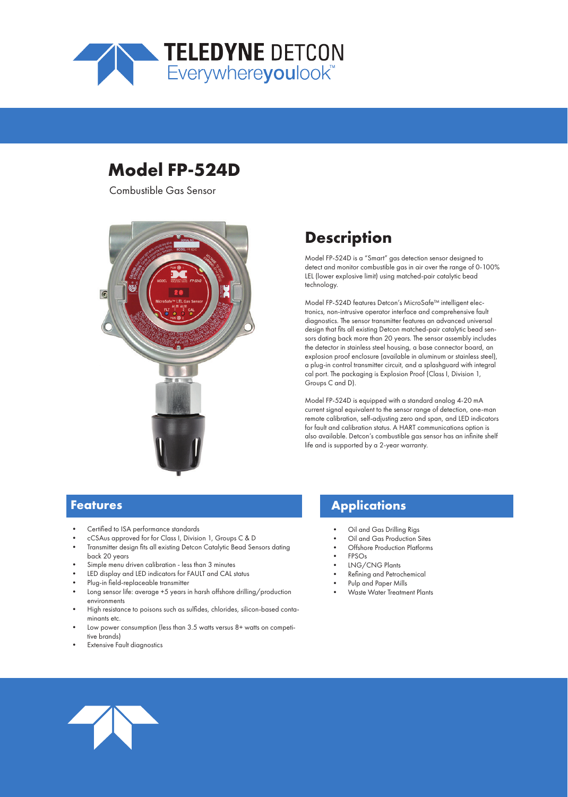

# **Model FP-524D**

Combustible Gas Sensor



# **Description**

Model FP-524D is a "Smart" gas detection sensor designed to detect and monitor combustible gas in air over the range of 0-100% LEL (lower explosive limit) using matched-pair catalytic bead technology.

Model FP-524D features Detcon's MicroSafe™ intelligent electronics, non-intrusive operator interface and comprehensive fault diagnostics. The sensor transmitter features an advanced universal design that fits all existing Detcon matched-pair catalytic bead sensors dating back more than 20 years. The sensor assembly includes the detector in stainless steel housing, a base connector board, an explosion proof enclosure (available in aluminum or stainless steel), a plug-in control transmitter circuit, and a splashguard with integral cal port. The packaging is Explosion Proof (Class I, Division 1, Groups C and D).

Model FP-524D is equipped with a standard analog 4-20 mA current signal equivalent to the sensor range of detection, one-man remote calibration, self-adjusting zero and span, and LED indicators for fault and calibration status. A HART communications option is also available. Detcon's combustible gas sensor has an infinite shelf life and is supported by a 2-year warranty.

### **Features**

- Certified to ISA performance standards
- cCSAus approved for for Class I, Division 1, Groups C & D
- Transmitter design fits all existing Detcon Catalytic Bead Sensors dating back 20 years
- Simple menu driven calibration less than 3 minutes
- LED display and LED indicators for FAULT and CAL status
- Plug-in field-replaceable transmitter
- Long sensor life: average +5 years in harsh offshore drilling/production environments
- High resistance to poisons such as sulfides, chlorides, silicon-based contaminants etc.
- Low power consumption (less than 3.5 watts versus 8+ watts on competitive brands)
- **Extensive Fault diagnostics**

### **Applications**

- Oil and Gas Drilling Rigs
- Oil and Gas Production Sites
- Offshore Production Platforms
- FPSOs
- LNG/CNG Plants
- Refining and Petrochemical
- Pulp and Paper Mills
- Waste Water Treatment Plants